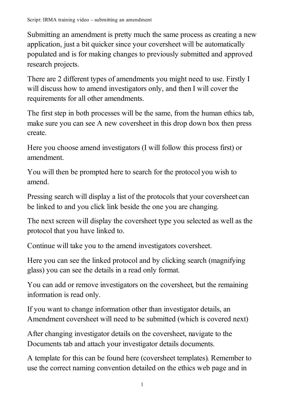Submitting an amendment is pretty much the same process as creating a new application, just a bit quicker since your coversheet will be automatically populated and is for making changes to previously submitted and approved research projects.

There are 2 different types of amendments you might need to use. Firstly I will discuss how to amend investigators only, and then I will cover the requirements for all other amendments.

The first step in both processes will be the same, from the human ethics tab, make sure you can see A new coversheet in this drop down box then press create.

Here you choose amend investigators (I will follow this process first) or amendment.

You will then be prompted here to search for the protocol you wish to amend.

Pressing search will display a list of the protocols that your coversheet can be linked to and you click link beside the one you are changing.

The next screen will display the coversheet type you selected as well as the protocol that you have linked to.

Continue will take you to the amend investigators coversheet.

Here you can see the linked protocol and by clicking search (magnifying glass) you can see the details in a read only format.

You can add or remove investigators on the coversheet, but the remaining information is read only.

If you want to change information other than investigator details, an Amendment coversheet will need to be submitted (which is covered next)

After changing investigator details on the coversheet, navigate to the Documents tab and attach your investigator details documents.

A template for this can be found here (coversheet templates). Remember to use the correct naming convention detailed on the ethics web page and in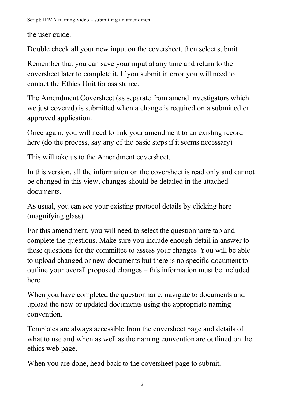the user guide.

Double check all your new input on the coversheet, then select submit.

Remember that you can save your input at any time and return to the coversheet later to complete it. If you submit in error you will need to contact the Ethics Unit for assistance.

The Amendment Coversheet (as separate from amend investigators which we just covered) is submitted when a change is required on a submitted or approved application.

Once again, you will need to link your amendment to an existing record here (do the process, say any of the basic steps if it seems necessary)

This will take us to the Amendment coversheet.

In this version, all the information on the coversheet is read only and cannot be changed in this view, changes should be detailed in the attached documents.

As usual, you can see your existing protocol details by clicking here (magnifying glass)

For this amendment, you will need to select the questionnaire tab and complete the questions. Make sure you include enough detail in answer to these questions for the committee to assess your changes. You will be able to upload changed or new documents but there is no specific document to outline your overall proposed changes – this information must be included here.

When you have completed the questionnaire, navigate to documents and upload the new or updated documents using the appropriate naming convention.

Templates are always accessible from the coversheet page and details of what to use and when as well as the naming convention are outlined on the ethics web page.

When you are done, head back to the coversheet page to submit.